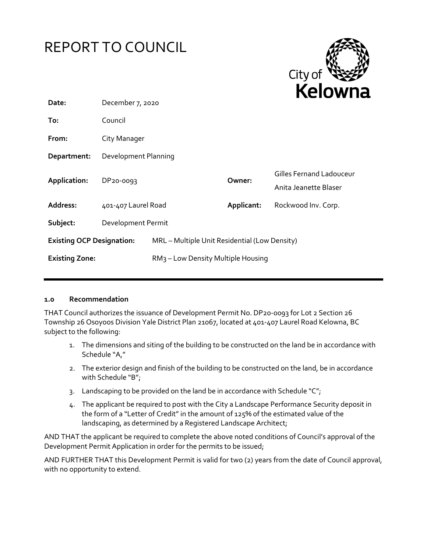



| Date:                            | December 7, 2020     |                                                |            |                                                          |
|----------------------------------|----------------------|------------------------------------------------|------------|----------------------------------------------------------|
| To:                              | Council              |                                                |            |                                                          |
| From:                            | City Manager         |                                                |            |                                                          |
| Department:                      | Development Planning |                                                |            |                                                          |
| Application:                     | DP20-0093            |                                                | Owner:     | <b>Gilles Fernand Ladouceur</b><br>Anita Jeanette Blaser |
| Address:                         | 401-407 Laurel Road  |                                                | Applicant: | Rockwood Inv. Corp.                                      |
| Subject:                         | Development Permit   |                                                |            |                                                          |
| <b>Existing OCP Designation:</b> |                      | MRL - Multiple Unit Residential (Low Density)  |            |                                                          |
| <b>Existing Zone:</b>            |                      | RM <sub>3</sub> – Low Density Multiple Housing |            |                                                          |

#### **1.0 Recommendation**

THAT Council authorizes the issuance of Development Permit No. DP20-0093 for Lot 2 Section 26 Township 26 Osoyoos Division Yale District Plan 21067, located at 401-407 Laurel Road Kelowna, BC subject to the following:

- 1. The dimensions and siting of the building to be constructed on the land be in accordance with Schedule "A,"
- 2. The exterior design and finish of the building to be constructed on the land, be in accordance with Schedule "B";
- 3. Landscaping to be provided on the land be in accordance with Schedule " $C$ ";
- 4. The applicant be required to post with the City a Landscape Performance Security deposit in the form of a "Letter of Credit" in the amount of 125% of the estimated value of the landscaping, as determined by a Registered Landscape Architect;

AND THAT the applicant be required to complete the above noted conditions of Council's approval of the Development Permit Application in order for the permits to be issued;

AND FURTHER THAT this Development Permit is valid for two (2) years from the date of Council approval, with no opportunity to extend.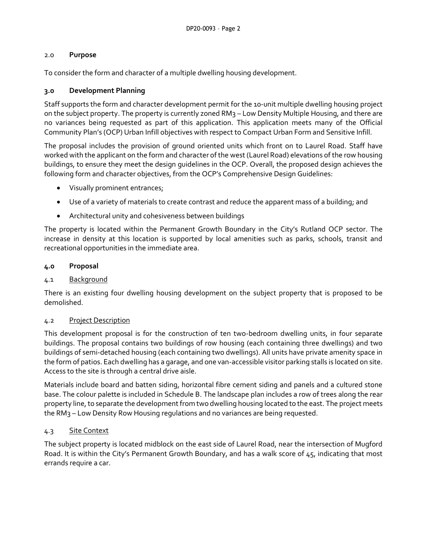## 2.0 **Purpose**

To consider the form and character of a multiple dwelling housing development.

## **3.0 Development Planning**

Staff supports the form and character development permit for the 10-unit multiple dwelling housing project on the subject property. The property is currently zoned RM3 – Low Density Multiple Housing, and there are no variances being requested as part of this application. This application meets many of the Official Community Plan's (OCP) Urban Infill objectives with respect to Compact Urban Form and Sensitive Infill.

The proposal includes the provision of ground oriented units which front on to Laurel Road. Staff have worked with the applicant on the form and character of the west (Laurel Road) elevations of the row housing buildings, to ensure they meet the design guidelines in the OCP. Overall, the proposed design achieves the following form and character objectives, from the OCP's Comprehensive Design Guidelines:

- Visually prominent entrances;
- Use of a variety of materials to create contrast and reduce the apparent mass of a building; and
- Architectural unity and cohesiveness between buildings

The property is located within the Permanent Growth Boundary in the City's Rutland OCP sector. The increase in density at this location is supported by local amenities such as parks, schools, transit and recreational opportunities in the immediate area.

## **4.0 Proposal**

## 4.1 Background

There is an existing four dwelling housing development on the subject property that is proposed to be demolished.

## 4.2 Project Description

This development proposal is for the construction of ten two-bedroom dwelling units, in four separate buildings. The proposal contains two buildings of row housing (each containing three dwellings) and two buildings of semi-detached housing (each containing two dwellings). All units have private amenity space in the form of patios. Each dwelling has a garage, and one van-accessible visitor parking stalls is located on site. Access to the site is through a central drive aisle.

Materials include board and batten siding, horizontal fibre cement siding and panels and a cultured stone base. The colour palette is included in Schedule B. The landscape plan includes a row of trees along the rear property line, to separate the development from two dwelling housing located to the east. The project meets the RM3 – Low Density Row Housing regulations and no variances are being requested.

## 4.3 Site Context

The subject property is located midblock on the east side of Laurel Road, near the intersection of Mugford Road. It is within the City's Permanent Growth Boundary, and has a walk score of 45, indicating that most errands require a car.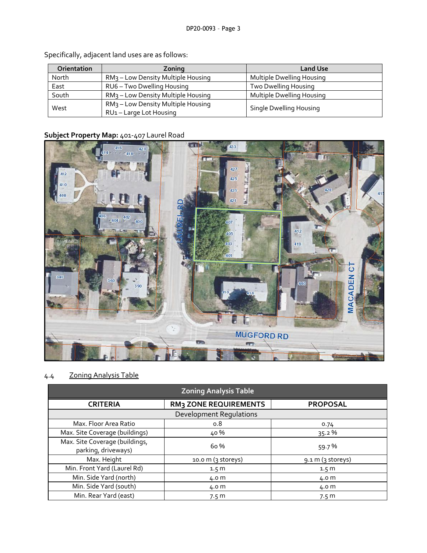| Orientation | Zoning                                                                  | <b>Land Use</b>           |  |
|-------------|-------------------------------------------------------------------------|---------------------------|--|
| North       | RM <sub>3</sub> - Low Density Multiple Housing                          | Multiple Dwelling Housing |  |
| East        | RU6 - Two Dwelling Housing                                              | Two Dwelling Housing      |  |
| South       | RM <sub>3</sub> – Low Density Multiple Housing                          | Multiple Dwelling Housing |  |
| West        | RM <sub>3</sub> - Low Density Multiple Housing<br>RU1-Large Lot Housing | Single Dwelling Housing   |  |

Specifically, adjacent land uses are as follows:

## **Subject Property Map:** 401-407 Laurel Road



# 4.4 Zoning Analysis Table

| <b>Zoning Analysis Table</b>                          |                              |                  |  |  |
|-------------------------------------------------------|------------------------------|------------------|--|--|
| <b>CRITERIA</b>                                       | <b>RM3 ZONE REQUIREMENTS</b> | <b>PROPOSAL</b>  |  |  |
| <b>Development Requlations</b>                        |                              |                  |  |  |
| Max. Floor Area Ratio                                 | 0.8                          | 0.74             |  |  |
| Max. Site Coverage (buildings)                        | 40 %                         | 35.2 %           |  |  |
| Max. Site Coverage (buildings,<br>parking, driveways) | 6o %                         | 59.7%            |  |  |
| Max. Height                                           | 10.0 m (3 storeys)           | 9.1 m (3 stores) |  |  |
| Min. Front Yard (Laurel Rd)                           | 1.5 <sub>m</sub>             | 1.5 <sub>m</sub> |  |  |
| Min. Side Yard (north)                                | 4.0 m                        | 4.0 m            |  |  |
| Min. Side Yard (south)                                | 4.0 m                        | 4.0 m            |  |  |
| Min. Rear Yard (east)                                 | 7.5 <sub>m</sub>             | 7.5 <sub>m</sub> |  |  |